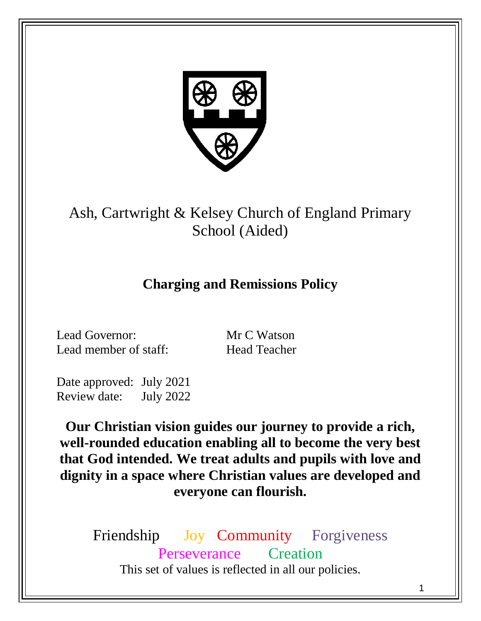

Ash, Cartwright & Kelsey Church of England Primary School (Aided)

# **Charging and Remissions Policy**

Lead Governor: Mr C Watson Lead member of staff: Head Teacher

Date approved: July 2021 Review date: July 2022

**Our Christian vision guides our journey to provide a rich, well-rounded education enabling all to become the very best that God intended. We treat adults and pupils with love and dignity in a space where Christian values are developed and everyone can flourish.**

Friendship Joy Community Forgiveness Perseverance Creation This set of values is reflected in all our policies.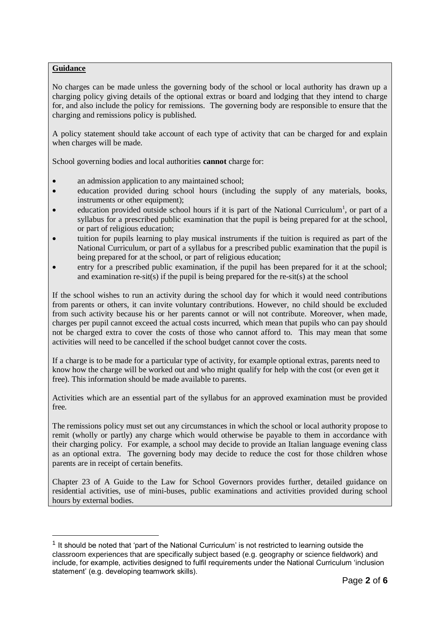# **Guidance**

<u>.</u>

No charges can be made unless the governing body of the school or local authority has drawn up a charging policy giving details of the optional extras or board and lodging that they intend to charge for, and also include the policy for remissions. The governing body are responsible to ensure that the charging and remissions policy is published.

A policy statement should take account of each type of activity that can be charged for and explain when charges will be made.

School governing bodies and local authorities **cannot** charge for:

- an admission application to any maintained school;
- education provided during school hours (including the supply of any materials, books, instruments or other equipment);
- education provided outside school hours if it is part of the National Curriculum<sup>1</sup>, or part of a syllabus for a prescribed public examination that the pupil is being prepared for at the school, or part of religious education;
- tuition for pupils learning to play musical instruments if the tuition is required as part of the National Curriculum, or part of a syllabus for a prescribed public examination that the pupil is being prepared for at the school, or part of religious education;
- entry for a prescribed public examination, if the pupil has been prepared for it at the school; and examination re-sit(s) if the pupil is being prepared for the re-sit(s) at the school

If the school wishes to run an activity during the school day for which it would need contributions from parents or others, it can invite voluntary contributions. However, no child should be excluded from such activity because his or her parents cannot or will not contribute. Moreover, when made, charges per pupil cannot exceed the actual costs incurred, which mean that pupils who can pay should not be charged extra to cover the costs of those who cannot afford to. This may mean that some activities will need to be cancelled if the school budget cannot cover the costs.

If a charge is to be made for a particular type of activity, for example optional extras, parents need to know how the charge will be worked out and who might qualify for help with the cost (or even get it free). This information should be made available to parents.

Activities which are an essential part of the syllabus for an approved examination must be provided free.

The remissions policy must set out any circumstances in which the school or local authority propose to remit (wholly or partly) any charge which would otherwise be payable to them in accordance with their charging policy. For example, a school may decide to provide an Italian language evening class as an optional extra. The governing body may decide to reduce the cost for those children whose parents are in receipt of certain benefits.

Chapter 23 of A Guide to the Law for School Governors provides further, detailed guidance on residential activities, use of mini-buses, public examinations and activities provided during school hours by external bodies.

 $1$  It should be noted that 'part of the National Curriculum' is not restricted to learning outside the classroom experiences that are specifically subject based (e.g. geography or science fieldwork) and include, for example, activities designed to fulfil requirements under the National Curriculum 'inclusion statement' (e.g. developing teamwork skills).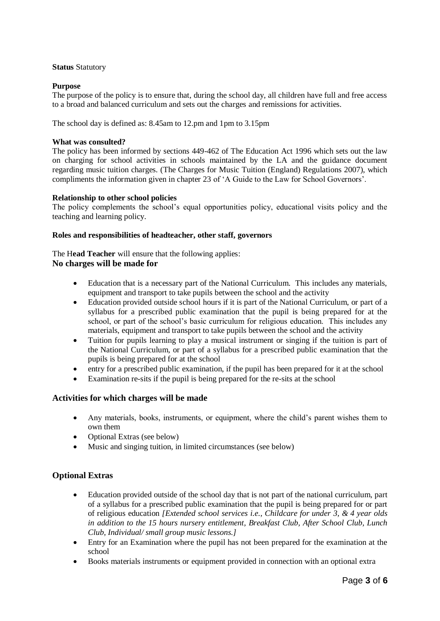# **Status** Statutory

# **Purpose**

The purpose of the policy is to ensure that, during the school day, all children have full and free access to a broad and balanced curriculum and sets out the charges and remissions for activities.

The school day is defined as: 8.45am to 12.pm and 1pm to 3.15pm

# **What was consulted?**

The policy has been informed by sections 449-462 of The Education Act 1996 which sets out the law on charging for school activities in schools maintained by the LA and the guidance document regarding music tuition charges. (The Charges for Music Tuition (England) Regulations 2007), which compliments the information given in chapter 23 of 'A Guide to the Law for School Governors'.

# **Relationship to other school policies**

The policy complements the school's equal opportunities policy, educational visits policy and the teaching and learning policy.

# **Roles and responsibilities of headteacher, other staff, governors**

The H**ead Teacher** will ensure that the following applies: **No charges will be made for** 

- Education that is a necessary part of the National Curriculum. This includes any materials, equipment and transport to take pupils between the school and the activity
- Education provided outside school hours if it is part of the National Curriculum, or part of a syllabus for a prescribed public examination that the pupil is being prepared for at the school, or part of the school's basic curriculum for religious education. This includes any materials, equipment and transport to take pupils between the school and the activity
- Tuition for pupils learning to play a musical instrument or singing if the tuition is part of the National Curriculum, or part of a syllabus for a prescribed public examination that the pupils is being prepared for at the school
- entry for a prescribed public examination, if the pupil has been prepared for it at the school
- Examination re-sits if the pupil is being prepared for the re-sits at the school

# **Activities for which charges will be made**

- Any materials, books, instruments, or equipment, where the child's parent wishes them to own them
- Optional Extras (see below)
- Music and singing tuition, in limited circumstances (see below)

# **Optional Extras**

- Education provided outside of the school day that is not part of the national curriculum, part of a syllabus for a prescribed public examination that the pupil is being prepared for or part of religious education *[Extended school services i.e., Childcare for under 3, & 4 year olds in addition to the 15 hours nursery entitlement, Breakfast Club, After School Club, Lunch Club, Individual/ small group music lessons.]*
- Entry for an Examination where the pupil has not been prepared for the examination at the school
- Books materials instruments or equipment provided in connection with an optional extra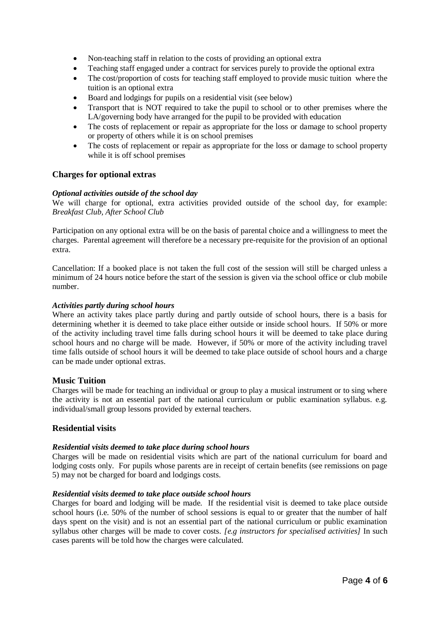- Non-teaching staff in relation to the costs of providing an optional extra
- Teaching staff engaged under a contract for services purely to provide the optional extra
- The cost/proportion of costs for teaching staff employed to provide music tuition where the tuition is an optional extra
- Board and lodgings for pupils on a residential visit (see below)
- Transport that is NOT required to take the pupil to school or to other premises where the LA/governing body have arranged for the pupil to be provided with education
- The costs of replacement or repair as appropriate for the loss or damage to school property or property of others while it is on school premises
- The costs of replacement or repair as appropriate for the loss or damage to school property while it is off school premises

# **Charges for optional extras**

# *Optional activities outside of the school day*

We will charge for optional, extra activities provided outside of the school day, for example: *Breakfast Club, After School Club* 

Participation on any optional extra will be on the basis of parental choice and a willingness to meet the charges. Parental agreement will therefore be a necessary pre-requisite for the provision of an optional extra.

Cancellation: If a booked place is not taken the full cost of the session will still be charged unless a minimum of 24 hours notice before the start of the session is given via the school office or club mobile number.

#### *Activities partly during school hours*

Where an activity takes place partly during and partly outside of school hours, there is a basis for determining whether it is deemed to take place either outside or inside school hours. If 50% or more of the activity including travel time falls during school hours it will be deemed to take place during school hours and no charge will be made. However, if 50% or more of the activity including travel time falls outside of school hours it will be deemed to take place outside of school hours and a charge can be made under optional extras.

# **Music Tuition**

Charges will be made for teaching an individual or group to play a musical instrument or to sing where the activity is not an essential part of the national curriculum or public examination syllabus. e.g. individual/small group lessons provided by external teachers.

# **Residential visits**

# *Residential visits deemed to take place during school hours*

Charges will be made on residential visits which are part of the national curriculum for board and lodging costs only. For pupils whose parents are in receipt of certain benefits (see remissions on page 5) may not be charged for board and lodgings costs.

# *Residential visits deemed to take place outside school hours*

Charges for board and lodging will be made. If the residential visit is deemed to take place outside school hours (i.e. 50% of the number of school sessions is equal to or greater that the number of half days spent on the visit) and is not an essential part of the national curriculum or public examination syllabus other charges will be made to cover costs. *[e.g instructors for specialised activities]* In such cases parents will be told how the charges were calculated.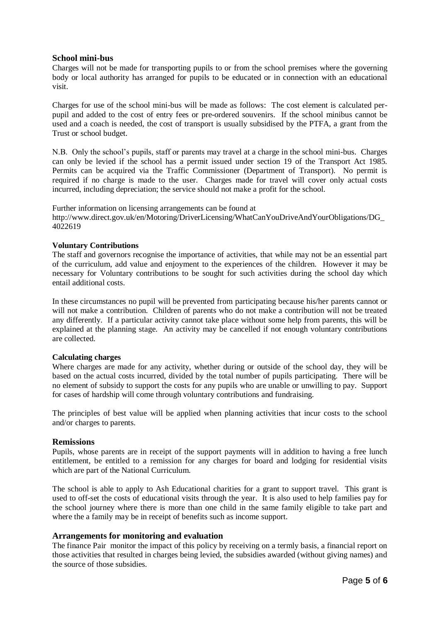# **School mini-bus**

Charges will not be made for transporting pupils to or from the school premises where the governing body or local authority has arranged for pupils to be educated or in connection with an educational visit.

Charges for use of the school mini-bus will be made as follows: The cost element is calculated perpupil and added to the cost of entry fees or pre-ordered souvenirs. If the school minibus cannot be used and a coach is needed, the cost of transport is usually subsidised by the PTFA, a grant from the Trust or school budget.

N.B. Only the school's pupils, staff or parents may travel at a charge in the school mini-bus. Charges can only be levied if the school has a permit issued under section 19 of the Transport Act 1985. Permits can be acquired via the Traffic Commissioner (Department of Transport). No permit is required if no charge is made to the user. Charges made for travel will cover only actual costs incurred, including depreciation; the service should not make a profit for the school.

Further information on licensing arrangements can be found at http://www.direct.gov.uk/en/Motoring/DriverLicensing/WhatCanYouDriveAndYourObligations/DG\_ 4022619

# **Voluntary Contributions**

The staff and governors recognise the importance of activities, that while may not be an essential part of the curriculum, add value and enjoyment to the experiences of the children. However it may be necessary for Voluntary contributions to be sought for such activities during the school day which entail additional costs.

In these circumstances no pupil will be prevented from participating because his/her parents cannot or will not make a contribution. Children of parents who do not make a contribution will not be treated any differently. If a particular activity cannot take place without some help from parents, this will be explained at the planning stage. An activity may be cancelled if not enough voluntary contributions are collected.

# **Calculating charges**

Where charges are made for any activity, whether during or outside of the school day, they will be based on the actual costs incurred, divided by the total number of pupils participating. There will be no element of subsidy to support the costs for any pupils who are unable or unwilling to pay. Support for cases of hardship will come through voluntary contributions and fundraising.

The principles of best value will be applied when planning activities that incur costs to the school and/or charges to parents.

# **Remissions**

Pupils, whose parents are in receipt of the support payments will in addition to having a free lunch entitlement, be entitled to a remission for any charges for board and lodging for residential visits which are part of the National Curriculum.

The school is able to apply to Ash Educational charities for a grant to support travel. This grant is used to off-set the costs of educational visits through the year. It is also used to help families pay for the school journey where there is more than one child in the same family eligible to take part and where the a family may be in receipt of benefits such as income support.

# **Arrangements for monitoring and evaluation**

The finance Pair monitor the impact of this policy by receiving on a termly basis, a financial report on those activities that resulted in charges being levied, the subsidies awarded (without giving names) and the source of those subsidies.